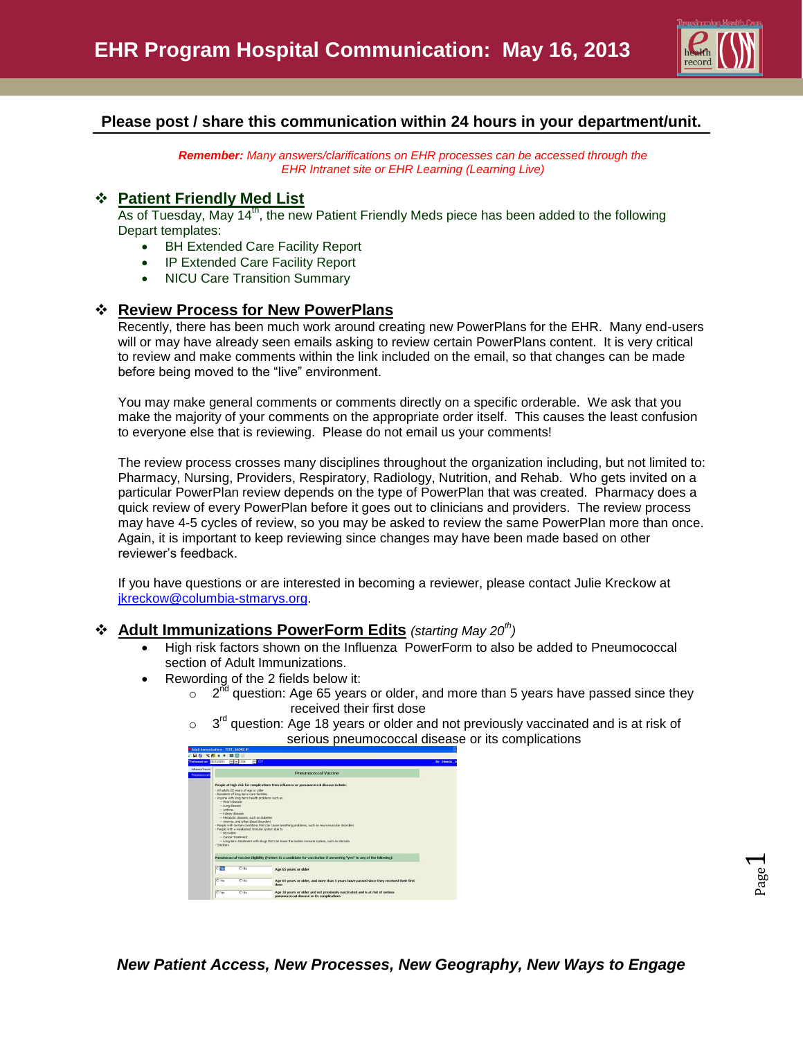

# **Please post / share this communication within 24 hours in your department/unit.**

*Remember: Many answers/clarifications on EHR processes can be accessed through the EHR Intranet site or EHR Learning (Learning Live)*

#### **Patient Friendly Med List**

As of Tuesday, May 14<sup>th</sup>, the new Patient Friendly Meds piece has been added to the following Depart templates:

- BH Extended Care Facility Report
- IP Extended Care Facility Report
- NICU Care Transition Summary

## **Review Process for New PowerPlans**

Recently, there has been much work around creating new PowerPlans for the EHR. Many end-users will or may have already seen emails asking to review certain PowerPlans content. It is very critical to review and make comments within the link included on the email, so that changes can be made before being moved to the "live" environment.

You may make general comments or comments directly on a specific orderable. We ask that you make the majority of your comments on the appropriate order itself. This causes the least confusion to everyone else that is reviewing. Please do not email us your comments!

The review process crosses many disciplines throughout the organization including, but not limited to: Pharmacy, Nursing, Providers, Respiratory, Radiology, Nutrition, and Rehab. Who gets invited on a particular PowerPlan review depends on the type of PowerPlan that was created. Pharmacy does a quick review of every PowerPlan before it goes out to clinicians and providers. The review process may have 4-5 cycles of review, so you may be asked to review the same PowerPlan more than once. Again, it is important to keep reviewing since changes may have been made based on other reviewer's feedback.

If you have questions or are interested in becoming a reviewer, please contact Julie Kreckow at [jkreckow@columbia-stmarys.org.](mailto:jkreckow@columbia-stmarys.org)

#### **Adult Immunizations PowerForm Edits** *(starting May 20th)*

- High risk factors shown on the Influenza PowerForm to also be added to Pneumococcal section of Adult Immunizations.
- Rewording of the 2 fields below it:
	- $\circ$  2<sup>nd</sup> question: Age 65 years or older, and more than 5 years have passed since they received their first dose
	- $\circ$  $3<sup>rd</sup>$  question: Age 18 years or older and not previously vaccinated and is at risk of serious pneumococcal disease or its complications

| People at high risk for complications from influenza or pneumococcal disease include:<br>- All adults 65 years of age or older<br>- Residents of long-term care facilities<br>- Anione with long-term health problems such as<br>- Heart disease<br>- Lung disease<br>$ at$ frma<br>- Kidney disease<br>-- Metabolic disease, such as diabetes<br>- America, and other blood disorders.<br>- People with certain conditions that can cause breathing problems, such as neuromuscular disorders.<br>- People with a weakened immune system due to<br>$-$ HIV/AIDS.<br>- Canoer treatment<br>- Long-term treatment with drugs that can lower the bodies immune system, such as steroids<br>- Smokers |
|----------------------------------------------------------------------------------------------------------------------------------------------------------------------------------------------------------------------------------------------------------------------------------------------------------------------------------------------------------------------------------------------------------------------------------------------------------------------------------------------------------------------------------------------------------------------------------------------------------------------------------------------------------------------------------------------------|